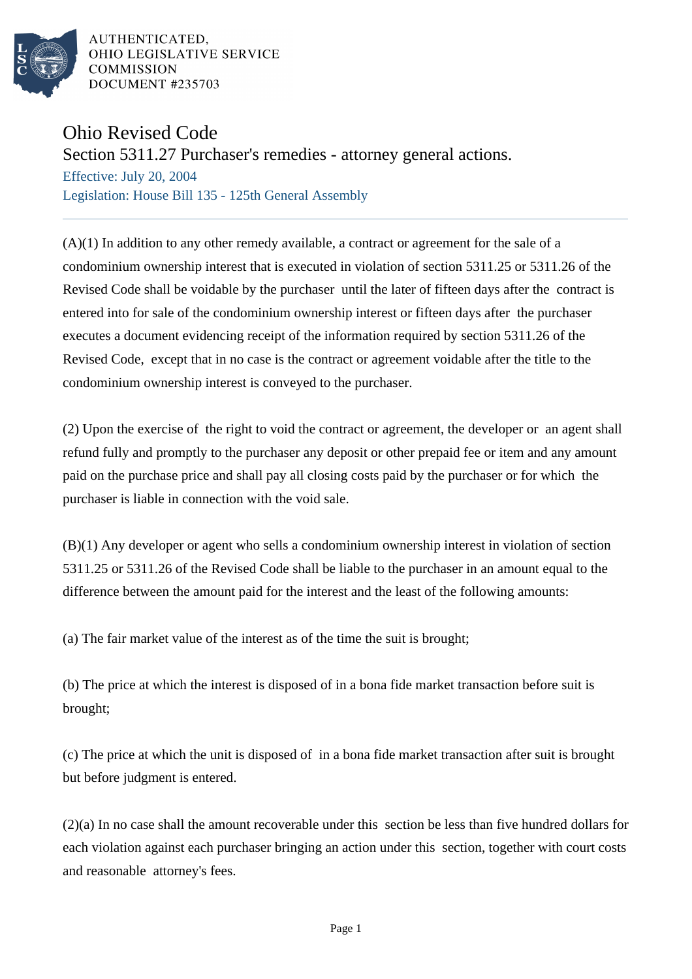

AUTHENTICATED. OHIO LEGISLATIVE SERVICE **COMMISSION** DOCUMENT #235703

## Ohio Revised Code

Section 5311.27 Purchaser's remedies - attorney general actions.

Effective: July 20, 2004 Legislation: House Bill 135 - 125th General Assembly

 $(A)(1)$  In addition to any other remedy available, a contract or agreement for the sale of a condominium ownership interest that is executed in violation of section 5311.25 or 5311.26 of the Revised Code shall be voidable by the purchaser until the later of fifteen days after the contract is entered into for sale of the condominium ownership interest or fifteen days after the purchaser executes a document evidencing receipt of the information required by section 5311.26 of the Revised Code, except that in no case is the contract or agreement voidable after the title to the condominium ownership interest is conveyed to the purchaser.

(2) Upon the exercise of the right to void the contract or agreement, the developer or an agent shall refund fully and promptly to the purchaser any deposit or other prepaid fee or item and any amount paid on the purchase price and shall pay all closing costs paid by the purchaser or for which the purchaser is liable in connection with the void sale.

(B)(1) Any developer or agent who sells a condominium ownership interest in violation of section 5311.25 or 5311.26 of the Revised Code shall be liable to the purchaser in an amount equal to the difference between the amount paid for the interest and the least of the following amounts:

(a) The fair market value of the interest as of the time the suit is brought;

(b) The price at which the interest is disposed of in a bona fide market transaction before suit is brought;

(c) The price at which the unit is disposed of in a bona fide market transaction after suit is brought but before judgment is entered.

(2)(a) In no case shall the amount recoverable under this section be less than five hundred dollars for each violation against each purchaser bringing an action under this section, together with court costs and reasonable attorney's fees.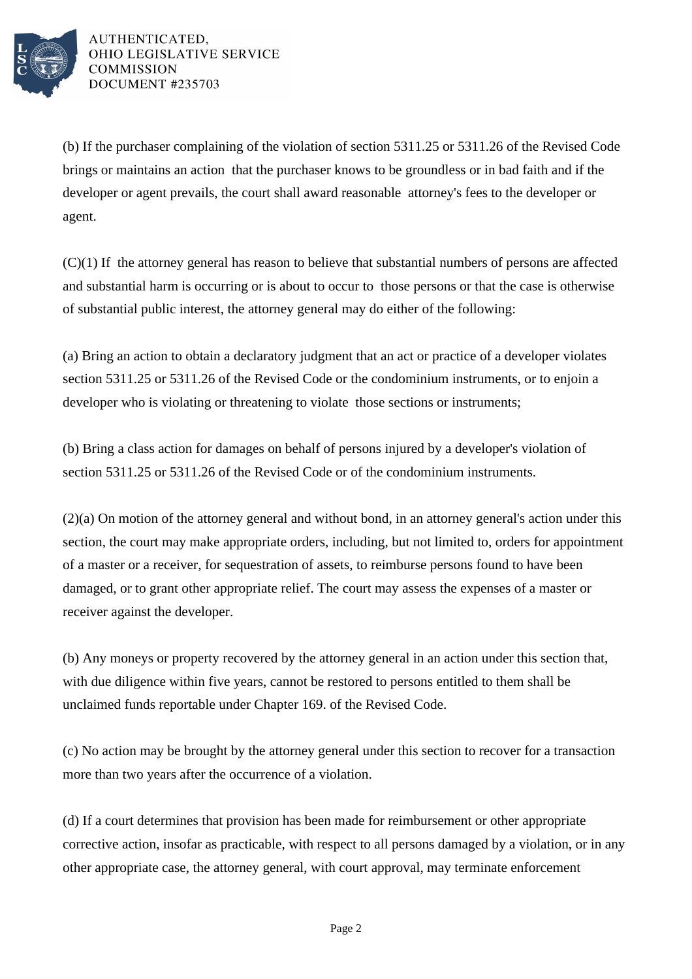

AUTHENTICATED, OHIO LEGISLATIVE SERVICE **COMMISSION** DOCUMENT #235703

(b) If the purchaser complaining of the violation of section 5311.25 or 5311.26 of the Revised Code brings or maintains an action that the purchaser knows to be groundless or in bad faith and if the developer or agent prevails, the court shall award reasonable attorney's fees to the developer or agent.

(C)(1) If the attorney general has reason to believe that substantial numbers of persons are affected and substantial harm is occurring or is about to occur to those persons or that the case is otherwise of substantial public interest, the attorney general may do either of the following:

(a) Bring an action to obtain a declaratory judgment that an act or practice of a developer violates section 5311.25 or 5311.26 of the Revised Code or the condominium instruments, or to enjoin a developer who is violating or threatening to violate those sections or instruments;

(b) Bring a class action for damages on behalf of persons injured by a developer's violation of section 5311.25 or 5311.26 of the Revised Code or of the condominium instruments.

(2)(a) On motion of the attorney general and without bond, in an attorney general's action under this section, the court may make appropriate orders, including, but not limited to, orders for appointment of a master or a receiver, for sequestration of assets, to reimburse persons found to have been damaged, or to grant other appropriate relief. The court may assess the expenses of a master or receiver against the developer.

(b) Any moneys or property recovered by the attorney general in an action under this section that, with due diligence within five years, cannot be restored to persons entitled to them shall be unclaimed funds reportable under Chapter 169. of the Revised Code.

(c) No action may be brought by the attorney general under this section to recover for a transaction more than two years after the occurrence of a violation.

(d) If a court determines that provision has been made for reimbursement or other appropriate corrective action, insofar as practicable, with respect to all persons damaged by a violation, or in any other appropriate case, the attorney general, with court approval, may terminate enforcement